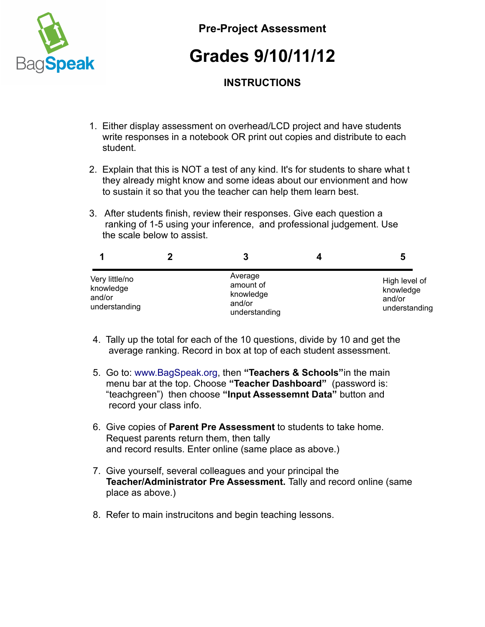

**Pre-Project Assessment**

## **Grades 9/10/11/12**

## **INSTRUCTIONS**

- 1. Either display assessment on overhead/LCD project and have students write responses in a notebook OR print out copies and distribute to each student.
- 2. Explain that this is NOT a test of any kind. It's for students to share what t they already might know and some ideas about our envionment and how to sustain it so that you the teacher can help them learn best.
- 3. After students finish, review their responses. Give each question a ranking of 1-5 using your inference, and professional judgement. Use the scale below to assist.

|                                                        | 3                                                            | 5                                                     |
|--------------------------------------------------------|--------------------------------------------------------------|-------------------------------------------------------|
| Very little/no<br>knowledge<br>and/or<br>understanding | Average<br>amount of<br>knowledge<br>and/or<br>understanding | High level of<br>knowledge<br>and/or<br>understanding |

- 4. Tally up the total for each of the 10 questions, divide by 10 and get the average ranking. Record in box at top of each student assessment.
- 5. Go to: [www.BagSpeak.org,](http://www.BagSpeak.org/) then **"Teachers & Schools"**in the main menu bar at the top. Choose **"Teacher Dashboard"** (password is: "teachgreen") then choose **"Input Assessemnt Data"** button and record your class info.
- 6. Give copies of **Parent Pre Assessment** to students to take home. Request parents return them, then tally and record results. Enter online (same place as above.)
- 7. Give yourself, several colleagues and your principal the  **Teacher/Administrator Pre Assessment.** Tally and record online (same place as above.)
- 8. Refer to main instrucitons and begin teaching lessons.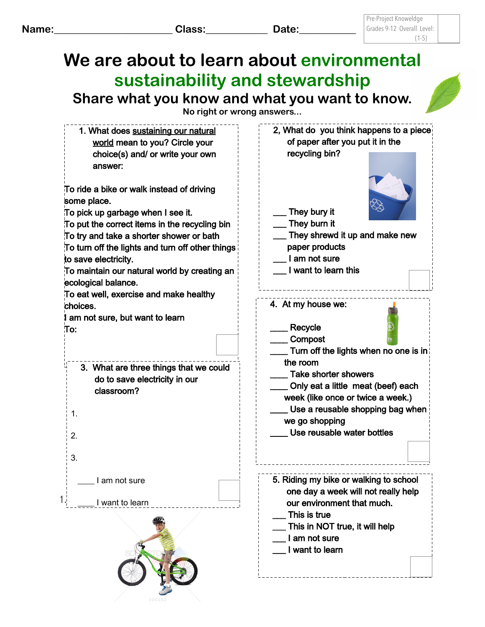